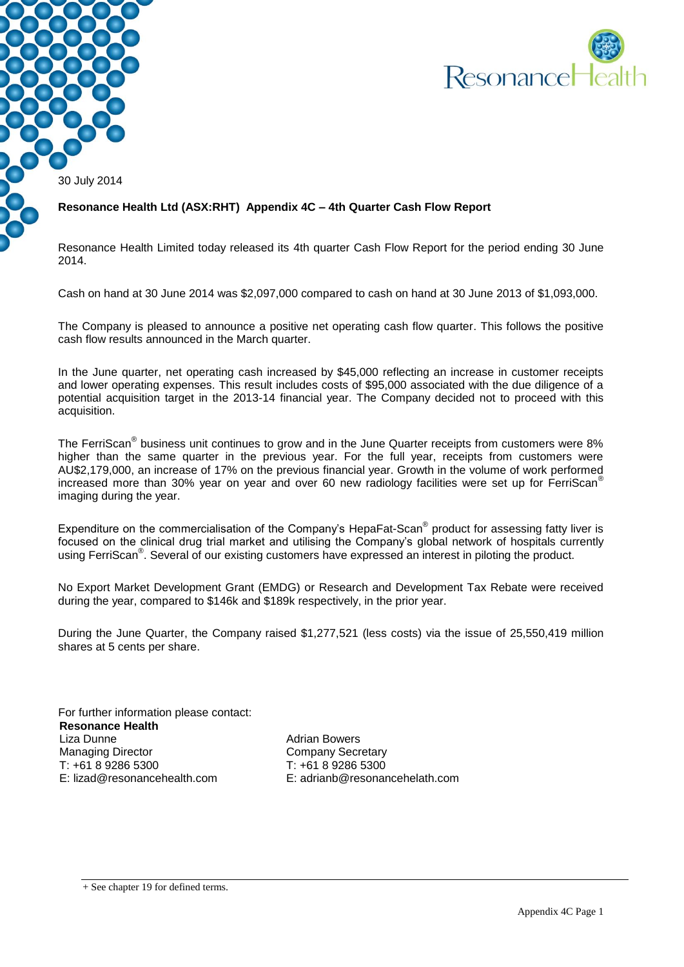

30 July 2014

#### **Resonance Health Ltd (ASX:RHT) Appendix 4C – 4th Quarter Cash Flow Report**

Resonance Health Limited today released its 4th quarter Cash Flow Report for the period ending 30 June 2014.

Cash on hand at 30 June 2014 was \$2,097,000 compared to cash on hand at 30 June 2013 of \$1,093,000.

The Company is pleased to announce a positive net operating cash flow quarter. This follows the positive cash flow results announced in the March quarter.

In the June quarter, net operating cash increased by \$45,000 reflecting an increase in customer receipts and lower operating expenses. This result includes costs of \$95,000 associated with the due diligence of a potential acquisition target in the 2013-14 financial year. The Company decided not to proceed with this acquisition.

The FerriScan<sup>®</sup> business unit continues to grow and in the June Quarter receipts from customers were 8% higher than the same quarter in the previous year. For the full year, receipts from customers were AU\$2,179,000, an increase of 17% on the previous financial year. Growth in the volume of work performed increased more than 30% year on year and over 60 new radiology facilities were set up for FerriScan® imaging during the year.

Expenditure on the commercialisation of the Company's HepaFat-Scan<sup>®</sup> product for assessing fatty liver is focused on the clinical drug trial market and utilising the Company's global network of hospitals currently using FerriScan<sup>®</sup>. Several of our existing customers have expressed an interest in piloting the product.

No Export Market Development Grant (EMDG) or Research and Development Tax Rebate were received during the year, compared to \$146k and \$189k respectively, in the prior year.

During the June Quarter, the Company raised \$1,277,521 (less costs) via the issue of 25,550,419 million shares at 5 cents per share.

For further information please contact: **Resonance Health** Liza Dunne Managing Director T: +61 8 9286 5300 E: lizad@resonancehealth.com

Adrian Bowers Company Secretary T: +61 8 9286 5300 E: adrianb@resonancehelath.com

+ See chapter 19 for defined terms.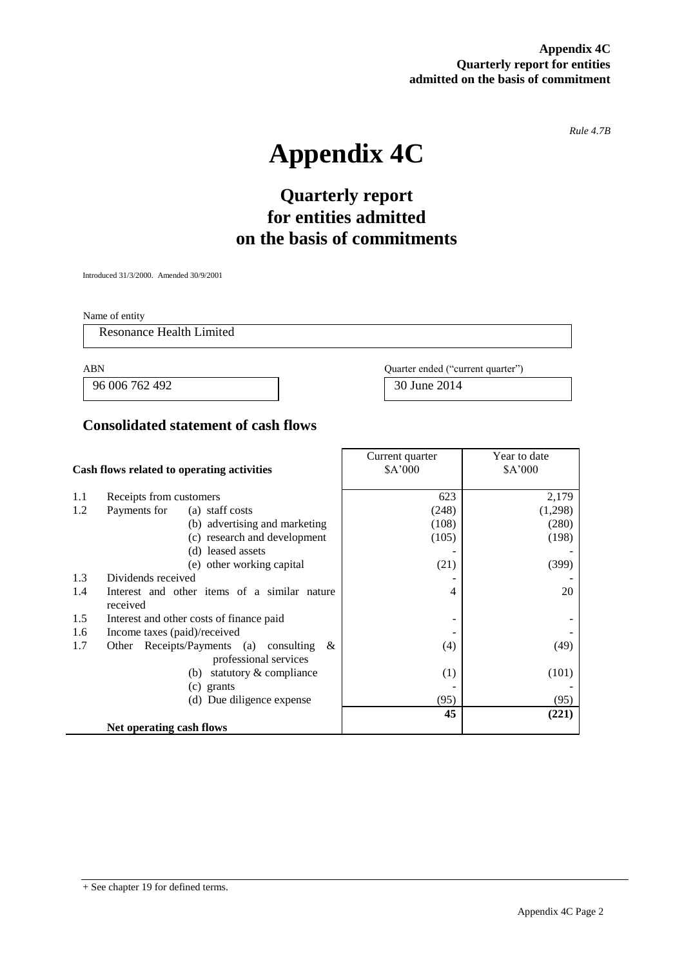**Appendix 4C Quarterly report for entities admitted on the basis of commitment**

*Rule 4.7B*

# **Appendix 4C**

# **Quarterly report for entities admitted on the basis of commitments**

Introduced 31/3/2000. Amended 30/9/2001

Name of entity

Resonance Health Limited

 $\mathbb{R}^2$ 

96 006 762 492 30 June 2014

ABN Quarter ended ("current quarter")

### **Consolidated statement of cash flows**

|                                            |                                                | Current quarter | Year to date |
|--------------------------------------------|------------------------------------------------|-----------------|--------------|
| Cash flows related to operating activities |                                                | \$A'000         | \$A'000      |
|                                            |                                                |                 |              |
| 1.1                                        | Receipts from customers                        | 623             | 2,179        |
| 1.2                                        | Payments for<br>(a) staff costs                | (248)           | (1,298)      |
|                                            | (b) advertising and marketing                  | (108)           | (280)        |
|                                            | (c) research and development                   | (105)           | (198)        |
|                                            | (d) leased assets                              |                 |              |
|                                            | (e) other working capital                      | (21)            | (399)        |
| 1.3                                        | Dividends received                             |                 |              |
| 1.4                                        | Interest and other items of a similar nature   | 4               | 20           |
|                                            | received                                       |                 |              |
| 1.5                                        | Interest and other costs of finance paid       |                 |              |
| 1.6                                        | Income taxes (paid)/received                   |                 |              |
| 1.7                                        | Receipts/Payments (a) consulting<br>&<br>Other | (4)             | (49)         |
|                                            | professional services                          |                 |              |
|                                            | statutory & compliance<br>(b)                  | (1)             | (101)        |
|                                            | (c) grants                                     |                 |              |
| (d) Due diligence expense                  |                                                | (95)            | (95)         |
|                                            |                                                | 45              | (221)        |
|                                            | Net operating cash flows                       |                 |              |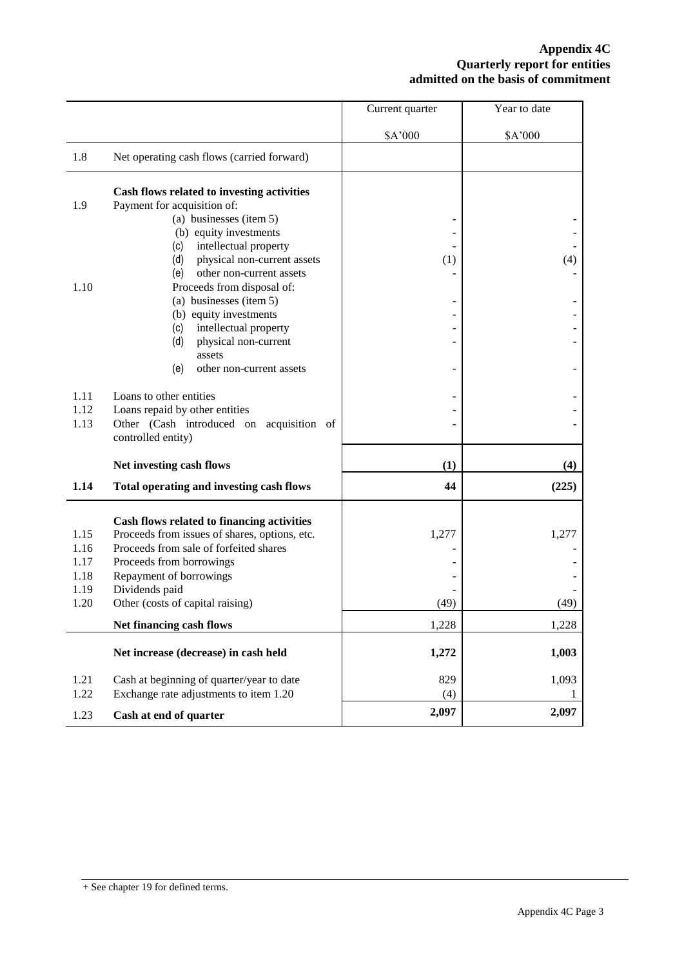#### **Appendix 4C Quarterly report for entities admitted on the basis of commitment**

|      |                                                                | Current quarter | Year to date |
|------|----------------------------------------------------------------|-----------------|--------------|
|      |                                                                | \$A'000         | \$A'000      |
| 1.8  | Net operating cash flows (carried forward)                     |                 |              |
|      | Cash flows related to investing activities                     |                 |              |
| 1.9  | Payment for acquisition of:                                    |                 |              |
|      | (a) businesses (item 5)                                        |                 |              |
|      | (b) equity investments                                         |                 |              |
|      | intellectual property<br>(c)                                   |                 |              |
|      | (d)<br>physical non-current assets                             | (1)             | (4)          |
|      | other non-current assets<br>(e)                                |                 |              |
| 1.10 | Proceeds from disposal of:                                     |                 |              |
|      | (a) businesses (item 5)<br>(b) equity investments              |                 |              |
|      | intellectual property<br>(c)                                   |                 |              |
|      | (d)<br>physical non-current                                    |                 |              |
|      | assets                                                         |                 |              |
|      | (e)<br>other non-current assets                                |                 |              |
|      |                                                                |                 |              |
| 1.11 | Loans to other entities                                        |                 |              |
| 1.12 | Loans repaid by other entities                                 |                 |              |
| 1.13 | Other (Cash introduced on acquisition of<br>controlled entity) |                 |              |
|      |                                                                |                 |              |
|      | Net investing cash flows                                       | (1)             | (4)          |
| 1.14 | Total operating and investing cash flows                       | 44              | (225)        |
|      | Cash flows related to financing activities                     |                 |              |
| 1.15 | Proceeds from issues of shares, options, etc.                  | 1,277           | 1,277        |
| 1.16 | Proceeds from sale of forfeited shares                         |                 |              |
| 1.17 | Proceeds from borrowings                                       |                 |              |
| 1.18 | Repayment of borrowings                                        |                 |              |
| 1.19 | Dividends paid                                                 |                 |              |
| 1.20 | Other (costs of capital raising)                               | (49)            | (49)         |
|      | Net financing cash flows                                       | 1,228           | 1,228        |
|      |                                                                |                 |              |
|      | Net increase (decrease) in cash held                           | 1,272           | 1,003        |
| 1.21 | Cash at beginning of quarter/year to date                      | 829             | 1,093        |
| 1.22 | Exchange rate adjustments to item 1.20                         | (4)             | $\mathbf{I}$ |
| 1.23 | Cash at end of quarter                                         | 2,097           | 2,097        |
|      |                                                                |                 |              |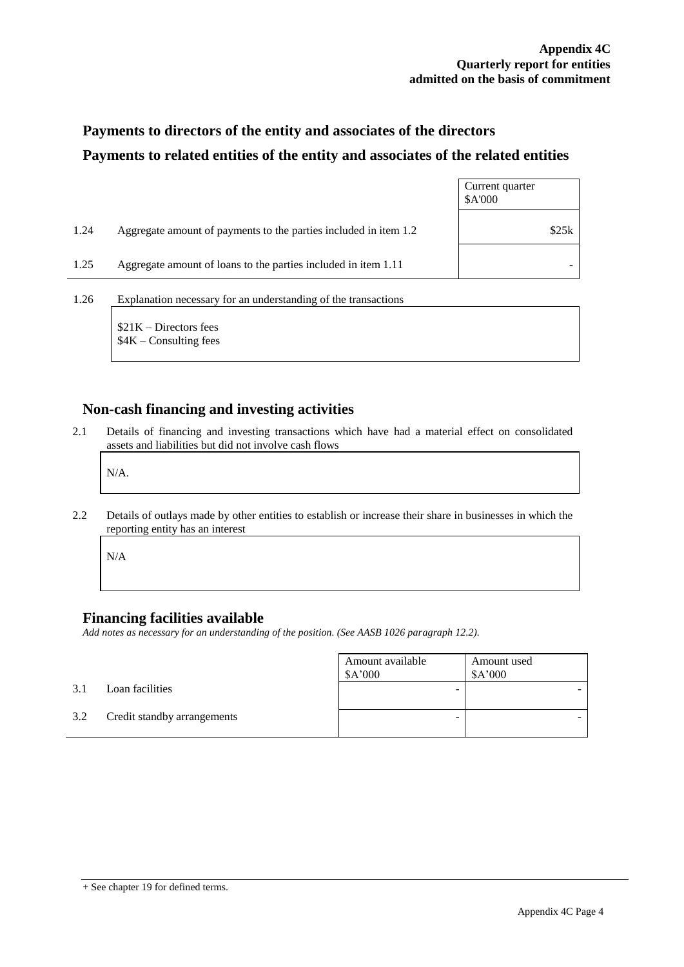## **Payments to directors of the entity and associates of the directors Payments to related entities of the entity and associates of the related entities**

|      |                                                                  | Current quarter<br>\$A'000 |
|------|------------------------------------------------------------------|----------------------------|
| 1.24 | Aggregate amount of payments to the parties included in item 1.2 | \$25k                      |
| 1.25 | Aggregate amount of loans to the parties included in item 1.11   |                            |
| 1.26 | Explanation necessary for an understanding of the transactions   |                            |

\$21K – Directors fees \$4K – Consulting fees

#### **Non-cash financing and investing activities**

2.1 Details of financing and investing transactions which have had a material effect on consolidated assets and liabilities but did not involve cash flows

N/A.

2.2 Details of outlays made by other entities to establish or increase their share in businesses in which the reporting entity has an interest

N/A

#### **Financing facilities available**

*Add notes as necessary for an understanding of the position. (See AASB 1026 paragraph 12.2).*

|     |                             | Amount available<br>\$A'000 | Amount used<br>\$A'000 |
|-----|-----------------------------|-----------------------------|------------------------|
| 3.1 | Loan facilities             | -                           |                        |
| 3.2 | Credit standby arrangements | -                           |                        |